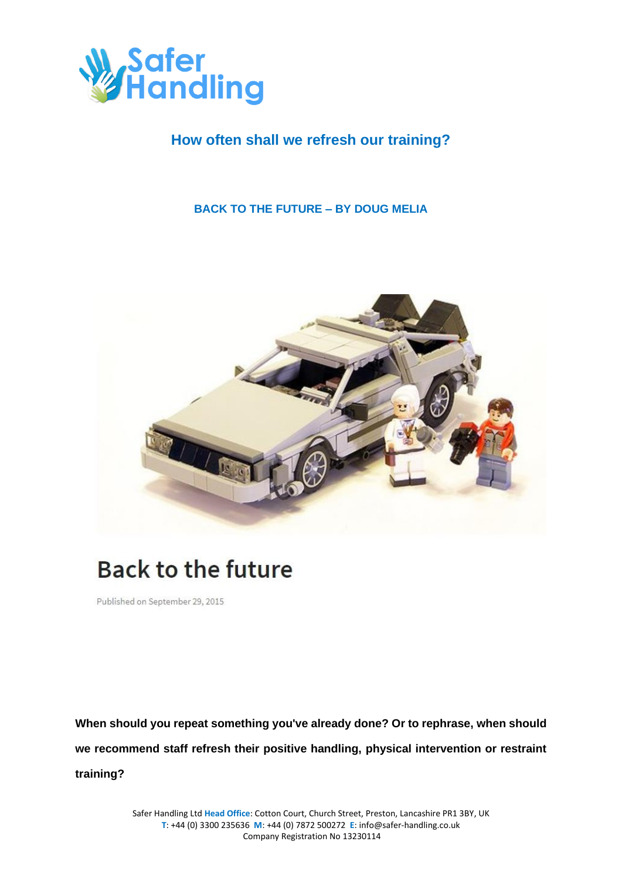

## **How often shall we refresh our training?**

### **BACK TO THE FUTURE – BY DOUG MELIA**



# **Back to the future**

Published on September 29, 2015

**When should you repeat something you've already done? Or to rephrase, when should we recommend staff refresh their positive handling, physical intervention or restraint training?**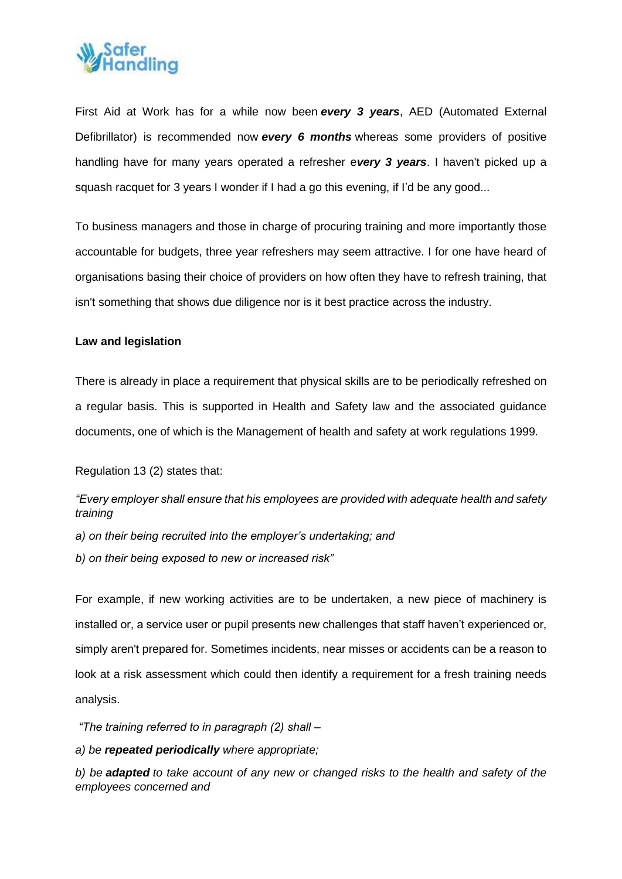

First Aid at Work has for a while now been *every 3 years*, AED (Automated External Defibrillator) is recommended now *every 6 months* whereas some providers of positive handling have for many years operated a refresher e*very 3 years*. I haven't picked up a squash racquet for 3 years I wonder if I had a go this evening, if I'd be any good...

To business managers and those in charge of procuring training and more importantly those accountable for budgets, three year refreshers may seem attractive. I for one have heard of organisations basing their choice of providers on how often they have to refresh training, that isn't something that shows due diligence nor is it best practice across the industry.

#### **Law and legislation**

There is already in place a requirement that physical skills are to be periodically refreshed on a regular basis. This is supported in Health and Safety law and the associated guidance documents, one of which is the Management of health and safety at work regulations 1999.

Regulation 13 (2) states that:

*"Every employer shall ensure that his employees are provided with adequate health and safety training*

*a) on their being recruited into the employer's undertaking; and*

*b) on their being exposed to new or increased risk"*

For example, if new working activities are to be undertaken, a new piece of machinery is installed or, a service user or pupil presents new challenges that staff haven't experienced or, simply aren't prepared for. Sometimes incidents, near misses or accidents can be a reason to look at a risk assessment which could then identify a requirement for a fresh training needs analysis.

*"The training referred to in paragraph (2) shall –*

*a) be repeated periodically where appropriate;*

*b) be adapted to take account of any new or changed risks to the health and safety of the employees concerned and*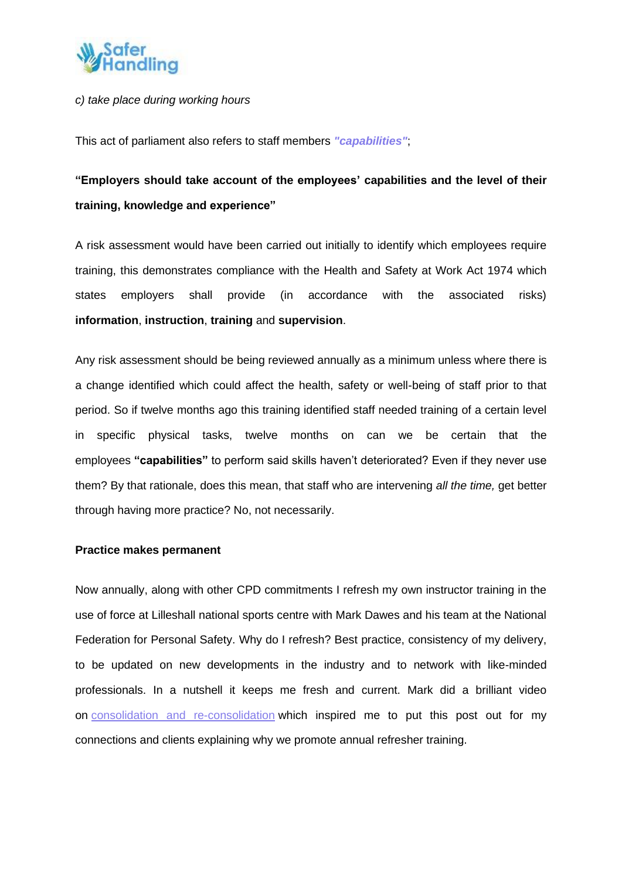

#### *c) take place during working hours*

This act of parliament also refers to staff members *["capabilities"](https://www.linkedin.com/pulse/could-cost-more-than-arm-leg-doug-melia?trk=pulse_spock-articles)*;

## **"Employers should take account of the employees' capabilities and the level of their training, knowledge and experience"**

A risk assessment would have been carried out initially to identify which employees require training, this demonstrates compliance with the Health and Safety at Work Act 1974 which states employers shall provide (in accordance with the associated risks) **information**, **instruction**, **training** and **supervision**.

Any risk assessment should be being reviewed annually as a minimum unless where there is a change identified which could affect the health, safety or well-being of staff prior to that period. So if twelve months ago this training identified staff needed training of a certain level in specific physical tasks, twelve months on can we be certain that the employees **"capabilities"** to perform said skills haven't deteriorated? Even if they never use them? By that rationale, does this mean, that staff who are intervening *all the time,* get better through having more practice? No, not necessarily.

#### **Practice makes permanent**

Now annually, along with other CPD commitments I refresh my own instructor training in the use of force at Lilleshall national sports centre with Mark Dawes and his team at the National Federation for Personal Safety. Why do I refresh? Best practice, consistency of my delivery, to be updated on new developments in the industry and to network with like-minded professionals. In a nutshell it keeps me fresh and current. Mark did a brilliant video on consolidation and [re-consolidation](https://www.youtube.com/watch?v=4k40JdgPMeg) which inspired me to put this post out for my connections and clients explaining why we promote annual refresher training.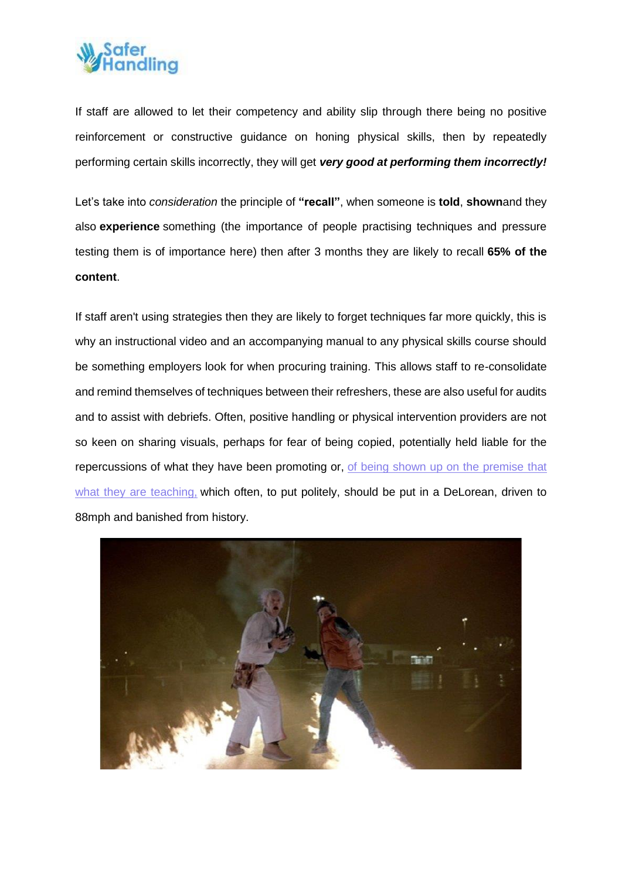

If staff are allowed to let their competency and ability slip through there being no positive reinforcement or constructive guidance on honing physical skills, then by repeatedly performing certain skills incorrectly, they will get *very good at performing them incorrectly!*

Let's take into *consideration* the principle of **"recall"**, when someone is **told**, **shown**and they also **experience** something (the importance of people practising techniques and pressure testing them is of importance here) then after 3 months they are likely to recall **65% of the content**.

If staff aren't using strategies then they are likely to forget techniques far more quickly, this is why an instructional video and an accompanying manual to any physical skills course should be something employers look for when procuring training. This allows staff to re-consolidate and remind themselves of techniques between their refreshers, these are also useful for audits and to assist with debriefs. Often, positive handling or physical intervention providers are not so keen on sharing visuals, perhaps for fear of being copied, potentially held liable for the repercussions of what they have been promoting or, of being shown up on the [premise](https://www.linkedin.com/pulse/weights-measures-doug-melia?trk=pulse_spock-articles) that what they are [teaching,](https://www.linkedin.com/pulse/weights-measures-doug-melia?trk=pulse_spock-articles) which often, to put politely, should be put in a DeLorean, driven to 88mph and banished from history.

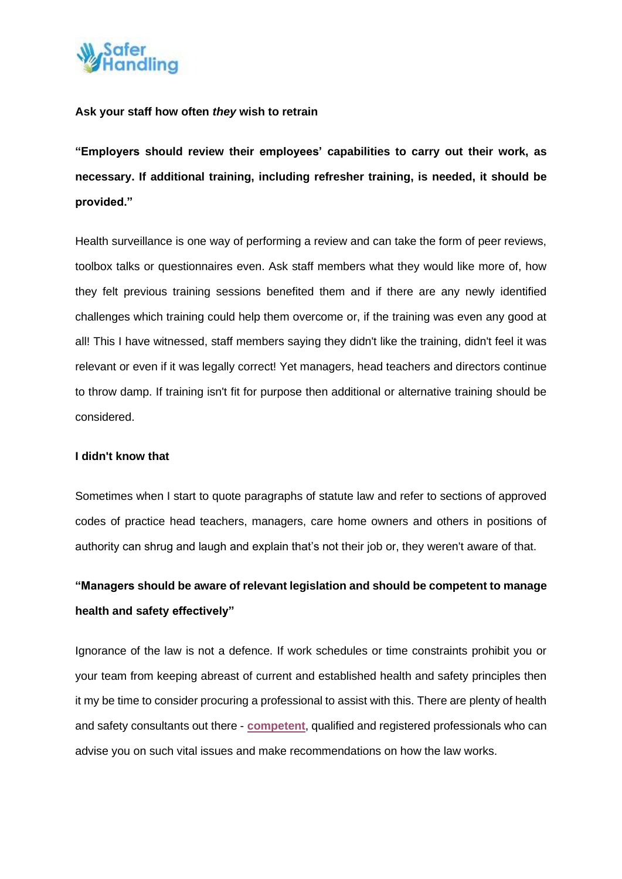

#### **Ask your staff how often** *they* **wish to retrain**

**"Employers should review their employees' capabilities to carry out their work, as necessary. If additional training, including refresher training, is needed, it should be provided."**

Health surveillance is one way of performing a review and can take the form of peer reviews, toolbox talks or questionnaires even. Ask staff members what they would like more of, how they felt previous training sessions benefited them and if there are any newly identified challenges which training could help them overcome or, if the training was even any good at all! This I have witnessed, staff members saying they didn't like the training, didn't feel it was relevant or even if it was legally correct! Yet managers, head teachers and directors continue to throw damp. If training isn't fit for purpose then additional or alternative training should be considered.

#### **I didn't know that**

Sometimes when I start to quote paragraphs of statute law and refer to sections of approved codes of practice head teachers, managers, care home owners and others in positions of authority can shrug and laugh and explain that's not their job or, they weren't aware of that.

## **"Managers should be aware of relevant legislation and should be competent to manage health and safety effectively"**

Ignorance of the law is not a defence. If work schedules or time constraints prohibit you or your team from keeping abreast of current and established health and safety principles then it my be time to consider procuring a professional to assist with this. There are plenty of health and safety consultants out there - **[competent](https://www.linkedin.com/pulse/procuring-contractor-restraint-positive-handling-training-doug-melia?trk=pulse_spock-articles)**, qualified and registered professionals who can advise you on such vital issues and make recommendations on how the law works.